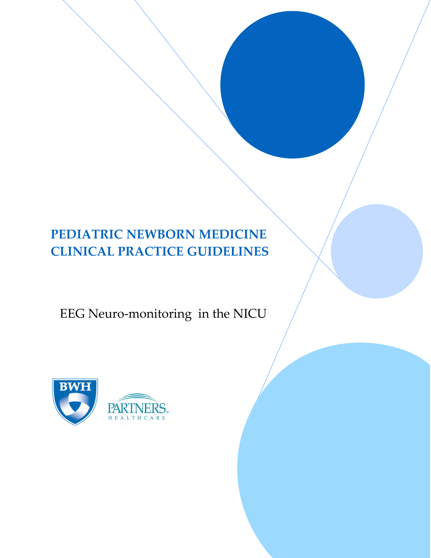# **PEDIATRIC NEWBORN MEDICINE CLINICAL PRACTICE GUIDELINES**

# EEG Neuro-monitoring in the NICU

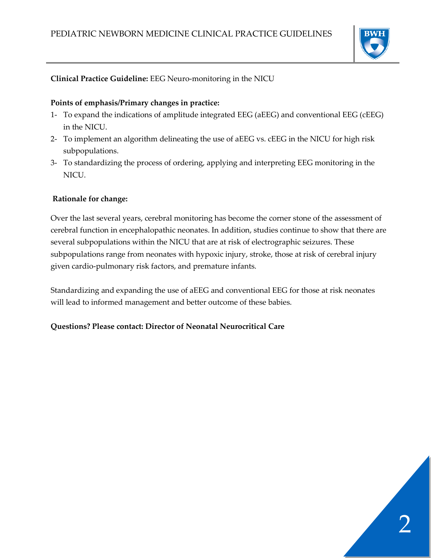

# **Clinical Practice Guideline:** EEG Neuro-monitoring in the NICU

#### **Points of emphasis/Primary changes in practice:**

- 1- To expand the indications of amplitude integrated EEG (aEEG) and conventional EEG (cEEG) in the NICU.
- 2- To implement an algorithm delineating the use of aEEG vs. cEEG in the NICU for high risk subpopulations.
- 3- To standardizing the process of ordering, applying and interpreting EEG monitoring in the NICU.

#### **Rationale for change:**

Over the last several years, cerebral monitoring has become the corner stone of the assessment of cerebral function in encephalopathic neonates. In addition, studies continue to show that there are several subpopulations within the NICU that are at risk of electrographic seizures. These subpopulations range from neonates with hypoxic injury, stroke, those at risk of cerebral injury given cardio-pulmonary risk factors, and premature infants.

Standardizing and expanding the use of aEEG and conventional EEG for those at risk neonates will lead to informed management and better outcome of these babies.

#### **Questions? Please contact: Director of Neonatal Neurocritical Care**

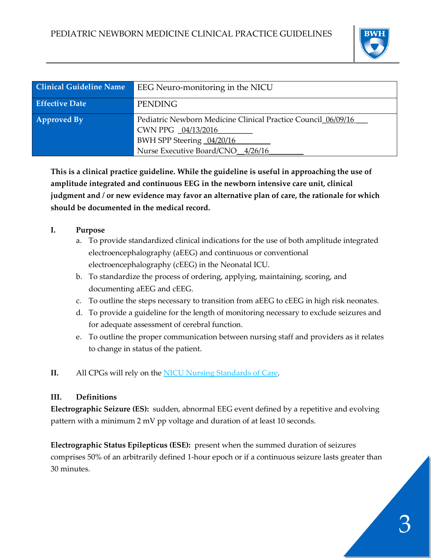

| <b>Clinical Guideline Name</b> | EEG Neuro-monitoring in the NICU                                                                                                                      |
|--------------------------------|-------------------------------------------------------------------------------------------------------------------------------------------------------|
| <b>Effective Date</b>          | <b>PENDING</b>                                                                                                                                        |
| <b>Approved By</b>             | Pediatric Newborn Medicine Clinical Practice Council 06/09/16<br>CWN PPG 04/13/2016<br>BWH SPP Steering 04/20/16<br>Nurse Executive Board/CNO 4/26/16 |

**This is a clinical practice guideline. While the guideline is useful in approaching the use of amplitude integrated and continuous EEG in the newborn intensive care unit, clinical judgment and / or new evidence may favor an alternative plan of care, the rationale for which should be documented in the medical record.**

# **I. Purpose**

- a. To provide standardized clinical indications for the use of both amplitude integrated electroencephalography (aEEG) and continuous or conventional electroencephalography (cEEG) in the Neonatal ICU.
- b. To standardize the process of ordering, applying, maintaining, scoring, and documenting aEEG and cEEG.
- c. To outline the steps necessary to transition from aEEG to cEEG in high risk neonates.
- d. To provide a guideline for the length of monitoring necessary to exclude seizures and for adequate assessment of cerebral function.
- e. To outline the proper communication between nursing staff and providers as it relates to change in status of the patient.
- **II.** All CPGs will rely on the [NICU Nursing Standards of Care.](http://www.bwhpikenotes.org/policies/Nursing/CWN_Clinical_Practice_Manual/NICU/NICU_Standards.pdf)

# **III. Definitions**

**Electrographic Seizure (ES):** sudden, abnormal EEG event defined by a repetitive and evolving pattern with a minimum 2 mV pp voltage and duration of at least 10 seconds.

**Electrographic Status Epilepticus (ESE):** present when the summed duration of seizures comprises 50% of an arbitrarily defined 1-hour epoch or if a continuous seizure lasts greater than 30 minutes.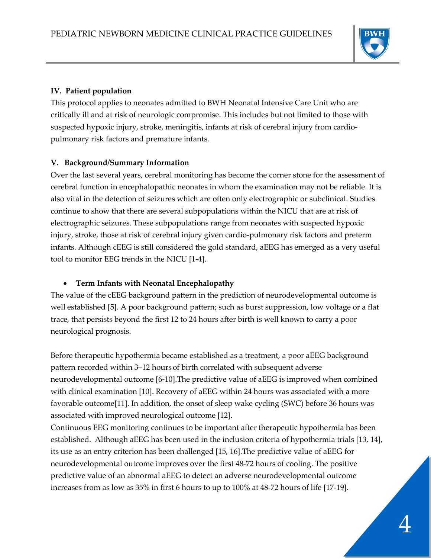

## **IV. Patient population**

This protocol applies to neonates admitted to BWH Neonatal Intensive Care Unit who are critically ill and at risk of neurologic compromise. This includes but not limited to those with suspected hypoxic injury, stroke, meningitis, infants at risk of cerebral injury from cardiopulmonary risk factors and premature infants.

# **V. Background/Summary Information**

Over the last several years, cerebral monitoring has become the corner stone for the assessment of cerebral function in encephalopathic neonates in whom the examination may not be reliable. It is also vital in the detection of seizures which are often only electrographic or subclinical. Studies continue to show that there are several subpopulations within the NICU that are at risk of electrographic seizures. These subpopulations range from neonates with suspected hypoxic injury, stroke, those at risk of cerebral injury given cardio-pulmonary risk factors and preterm infants. Although cEEG is still considered the gold standard, aEEG has emerged as a very useful tool to monitor EEG trends in the NICU [1-4].

## • **Term Infants with Neonatal Encephalopathy**

The value of the cEEG background pattern in the prediction of neurodevelopmental outcome is well established [5]. A poor background pattern; such as burst suppression, low voltage or a flat trace, that persists beyond the first 12 to 24 hours after birth is well known to carry a poor neurological prognosis.

Before therapeutic hypothermia became established as a treatment, a poor aEEG background pattern recorded within 3–12 hours of birth correlated with subsequent adverse neurodevelopmental outcome [6-10].The predictive value of aEEG is improved when combined with clinical examination [10]. Recovery of aEEG within 24 hours was associated with a more favorable outcome[11]. In addition, the onset of sleep wake cycling (SWC) before 36 hours was associated with improved neurological outcome [12].

Continuous EEG monitoring continues to be important after therapeutic hypothermia has been established. Although aEEG has been used in the inclusion criteria of hypothermia trials [13, 14], its use as an entry criterion has been challenged [15, 16].The predictive value of aEEG for neurodevelopmental outcome improves over the first 48-72 hours of cooling. The positive predictive value of an abnormal aEEG to detect an adverse neurodevelopmental outcome increases from as low as 35% in first 6 hours to up to 100% at 48-72 hours of life [17-19].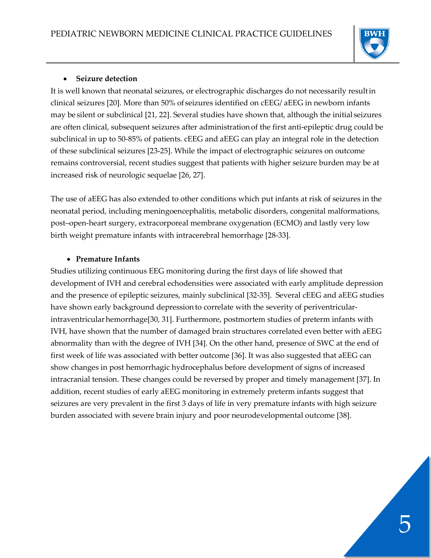

#### • **Seizure detection**

It is well known that neonatal seizures, or electrographic discharges do not necessarily resultin clinical seizures [20]. More than 50% of seizures identified on cEEG/ aEEG in newborn infants may be silent or subclinical [21, 22]. Several studies have shown that, although the initial seizures are often clinical, subsequent seizures after administrationof the first anti-epileptic drug could be subclinical in up to 50-85% of patients. cEEG and aEEG can play an integral role in the detection of these subclinical seizures [23-25]. While the impact of electrographic seizures on outcome remains controversial, recent studies suggest that patients with higher seizure burden may be at increased risk of neurologic sequelae [26, 27].

The use of aEEG has also extended to other conditions which put infants at risk of seizures in the neonatal period, including meningoencephalitis, metabolic disorders, congenital malformations, post–open-heart surgery, extracorporeal membrane oxygenation (ECMO) and lastly very low birth weight premature infants with intracerebral hemorrhage [28-33].

#### • **Premature Infants**

Studies utilizing continuous EEG monitoring during the first days of life showed that development of IVH and cerebral echodensities were associated with early amplitude depression and the presence of epileptic seizures, mainly subclinical [32-35]. Several cEEG and aEEG studies have shown early background depressionto correlate with the severity of periventricularintraventricular hemorrhage[30, 31]. Furthermore, postmortem studies of preterm infants with IVH, have shown that the number of damaged brain structures correlated even better with aEEG abnormality than with the degree of IVH [34]. On the other hand, presence of SWC at the end of first week of life was associated with better outcome [36]. It was also suggested that aEEG can show changes in post hemorrhagic hydrocephalus before development of signs of increased intracranial tension. These changes could be reversed by proper and timely management [37]. In addition, recent studies of early aEEG monitoring in extremely preterm infants suggest that seizures are very prevalent in the first 3 days of life in very premature infants with high seizure burden associated with severe brain injury and poor neurodevelopmental outcome [38].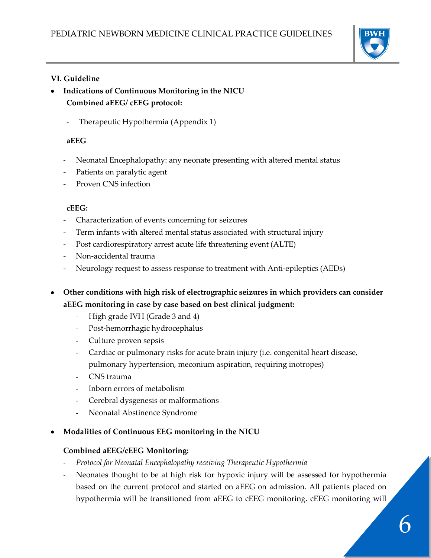

## **VI. Guideline**

- **Indications of Continuous Monitoring in the NICU Combined aEEG/ cEEG protocol:**
	- Therapeutic Hypothermia (Appendix 1)

#### **aEEG**

- Neonatal Encephalopathy: any neonate presenting with altered mental status
- Patients on paralytic agent
- Proven CNS infection

#### **cEEG:**

- Characterization of events concerning for seizures
- Term infants with altered mental status associated with structural injury
- Post cardiorespiratory arrest acute life threatening event (ALTE)
- Non-accidental trauma
- Neurology request to assess response to treatment with Anti-epileptics (AEDs)
- **Other conditions with high risk of electrographic seizures in which providers can consider aEEG monitoring in case by case based on best clinical judgment:**
	- High grade IVH (Grade 3 and 4)
	- Post-hemorrhagic hydrocephalus
	- Culture proven sepsis
	- Cardiac or pulmonary risks for acute brain injury (i.e. congenital heart disease, pulmonary hypertension, meconium aspiration, requiring inotropes)
	- CNS trauma
	- Inborn errors of metabolism
	- Cerebral dysgenesis or malformations
	- Neonatal Abstinence Syndrome

## • **Modalities of Continuous EEG monitoring in the NICU**

## **Combined aEEG/cEEG Monitoring:**

- *Protocol for Neonatal Encephalopathy receiving Therapeutic Hypothermia*
- Neonates thought to be at high risk for hypoxic injury will be assessed for hypothermia based on the current protocol and started on aEEG on admission. All patients placed on hypothermia will be transitioned from aEEG to cEEG monitoring. cEEG monitoring will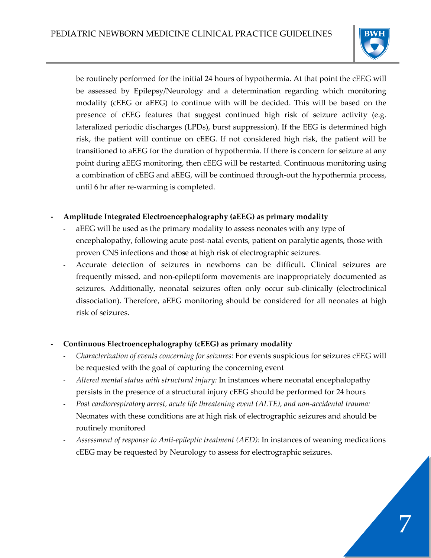

be routinely performed for the initial 24 hours of hypothermia. At that point the cEEG will be assessed by Epilepsy/Neurology and a determination regarding which monitoring modality (cEEG or aEEG) to continue with will be decided. This will be based on the presence of cEEG features that suggest continued high risk of seizure activity (e.g. lateralized periodic discharges (LPDs), burst suppression). If the EEG is determined high risk, the patient will continue on cEEG. If not considered high risk, the patient will be transitioned to aEEG for the duration of hypothermia. If there is concern for seizure at any point during aEEG monitoring, then cEEG will be restarted. Continuous monitoring using a combination of cEEG and aEEG, will be continued through-out the hypothermia process, until 6 hr after re-warming is completed.

## **- Amplitude Integrated Electroencephalography (aEEG) as primary modality**

- aEEG will be used as the primary modality to assess neonates with any type of encephalopathy, following acute post-natal events, patient on paralytic agents, those with proven CNS infections and those at high risk of electrographic seizures.
- Accurate detection of seizures in newborns can be difficult. Clinical seizures are frequently missed, and non-epileptiform movements are inappropriately documented as seizures. Additionally, neonatal seizures often only occur sub-clinically (electroclinical dissociation). Therefore, aEEG monitoring should be considered for all neonates at high risk of seizures.

## **- Continuous Electroencephalography (cEEG) as primary modality**

- *Characterization of events concerning for seizures:* For events suspicious for seizures cEEG will be requested with the goal of capturing the concerning event
- *Altered mental status with structural injury:* In instances where neonatal encephalopathy persists in the presence of a structural injury cEEG should be performed for 24 hours
- *Post cardiorespiratory arrest, acute life threatening event (ALTE), and non-accidental trauma:*  Neonates with these conditions are at high risk of electrographic seizures and should be routinely monitored
- *Assessment of response to Anti-epileptic treatment (AED):* In instances of weaning medications cEEG may be requested by Neurology to assess for electrographic seizures.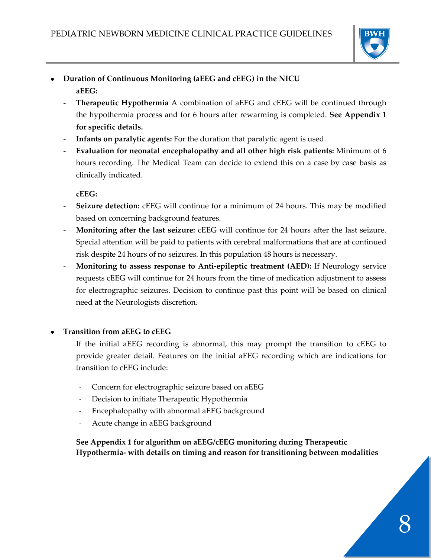

- **Duration of Continuous Monitoring (aEEG and cEEG) in the NICU aEEG:**
	- **Therapeutic Hypothermia** A combination of aEEG and cEEG will be continued through the hypothermia process and for 6 hours after rewarming is completed. **See Appendix 1 for specific details.**
	- **Infants on paralytic agents:** For the duration that paralytic agent is used.
	- **Evaluation for neonatal encephalopathy and all other high risk patients:** Minimum of 6 hours recording. The Medical Team can decide to extend this on a case by case basis as clinically indicated.

**cEEG:**

- Seizure detection: cEEG will continue for a minimum of 24 hours. This may be modified based on concerning background features.
- **Monitoring after the last seizure:** cEEG will continue for 24 hours after the last seizure. Special attention will be paid to patients with cerebral malformations that are at continued risk despite 24 hours of no seizures. In this population 48 hours is necessary.
- **Monitoring to assess response to Anti-epileptic treatment (AED):** If Neurology service requests cEEG will continue for 24 hours from the time of medication adjustment to assess for electrographic seizures. Decision to continue past this point will be based on clinical need at the Neurologists discretion.

## • **Transition from aEEG to cEEG**

- If the initial aEEG recording is abnormal, this may prompt the transition to cEEG to provide greater detail. Features on the initial aEEG recording which are indications for transition to cEEG include:
- Concern for electrographic seizure based on aEEG
- Decision to initiate Therapeutic Hypothermia
- Encephalopathy with abnormal aEEG background
- Acute change in aEEG background

**See Appendix 1 for algorithm on aEEG/cEEG monitoring during Therapeutic Hypothermia- with details on timing and reason for transitioning between modalities**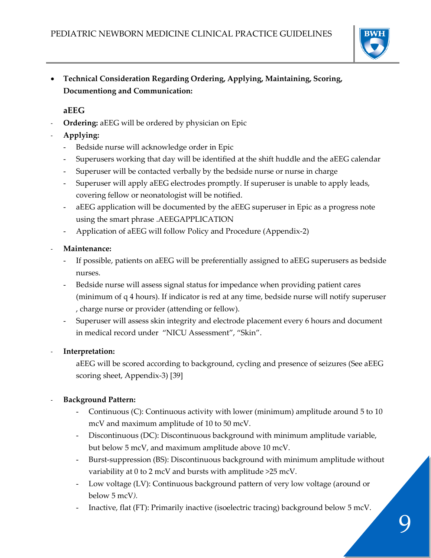

• **Technical Consideration Regarding Ordering, Applying, Maintaining, Scoring, Documentiong and Communication:**

# **aEEG**

- **Ordering:** aEEG will be ordered by physician on Epic
- **Applying:**
	- Bedside nurse will acknowledge order in Epic
	- Superusers working that day will be identified at the shift huddle and the aEEG calendar
	- Superuser will be contacted verbally by the bedside nurse or nurse in charge
	- Superuser will apply aEEG electrodes promptly. If superuser is unable to apply leads, covering fellow or neonatologist will be notified.
	- aEEG application will be documented by the aEEG superuser in Epic as a progress note using the smart phrase .AEEGAPPLICATION
	- Application of aEEG will follow Policy and Procedure (Appendix-2)

## - **Maintenance:**

- If possible, patients on aEEG will be preferentially assigned to aEEG superusers as bedside nurses.
- Bedside nurse will assess signal status for impedance when providing patient cares (minimum of q 4 hours). If indicator is red at any time, bedside nurse will notify superuser , charge nurse or provider (attending or fellow).
- Superuser will assess skin integrity and electrode placement every 6 hours and document in medical record under "NICU Assessment", "Skin".

## - **Interpretation:**

aEEG will be scored according to background, cycling and presence of seizures (See aEEG scoring sheet, Appendix-3) [39]

## - **Background Pattern:**

- Continuous (C): Continuous activity with lower (minimum) amplitude around 5 to 10 mcV and maximum amplitude of 10 to 50 mcV.
- Discontinuous (DC): Discontinuous background with minimum amplitude variable, but below 5 mcV, and maximum amplitude above 10 mcV.
- Burst-suppression (BS): Discontinuous background with minimum amplitude without variability at 0 to 2 mcV and bursts with amplitude >25 mcV.
- Low voltage (LV): Continuous background pattern of very low voltage (around or below 5 mcV*).*
- Inactive, flat (FT): Primarily inactive (isoelectric tracing) background below 5 mcV.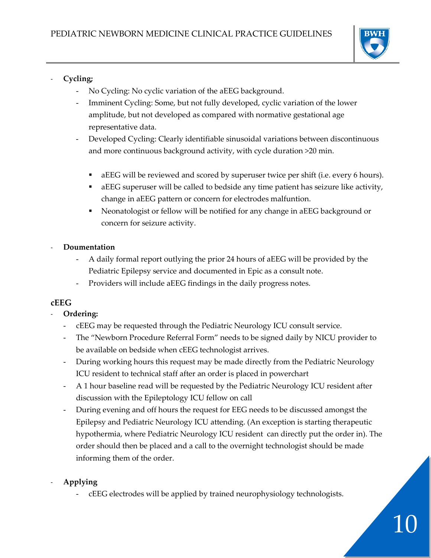

# - **Cycling;**

- No Cycling: No cyclic variation of the aEEG background.
- Imminent Cycling: Some, but not fully developed, cyclic variation of the lower amplitude, but not developed as compared with normative gestational age representative data.
- Developed Cycling: Clearly identifiable sinusoidal variations between discontinuous and more continuous background activity, with cycle duration >20 min.
	- **a** aEEG will be reviewed and scored by superuser twice per shift (i.e. every 6 hours).
	- aEEG superuser will be called to bedside any time patient has seizure like activity, change in aEEG pattern or concern for electrodes malfuntion.
	- Neonatologist or fellow will be notified for any change in aEEG background or concern for seizure activity.

# - **Doumentation**

- A daily formal report outlying the prior 24 hours of aEEG will be provided by the Pediatric Epilepsy service and documented in Epic as a consult note.
- Providers will include aEEG findings in the daily progress notes.

# **cEEG**

## - **Ordering:**

- cEEG may be requested through the Pediatric Neurology ICU consult service.
- The "Newborn Procedure Referral Form" needs to be signed daily by NICU provider to be available on bedside when cEEG technologist arrives.
- During working hours this request may be made directly from the Pediatric Neurology ICU resident to technical staff after an order is placed in powerchart
- A 1 hour baseline read will be requested by the Pediatric Neurology ICU resident after discussion with the Epileptology ICU fellow on call
- During evening and off hours the request for EEG needs to be discussed amongst the Epilepsy and Pediatric Neurology ICU attending. (An exception is starting therapeutic hypothermia, where Pediatric Neurology ICU resident can directly put the order in). The order should then be placed and a call to the overnight technologist should be made informing them of the order.

# - **Applying**

- cEEG electrodes will be applied by trained neurophysiology technologists.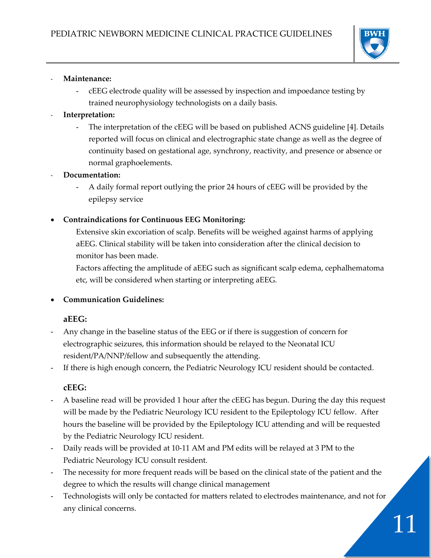

#### - **Maintenance:**

- cEEG electrode quality will be assessed by inspection and impoedance testing by trained neurophysiology technologists on a daily basis.
- **Interpretation:**
	- The interpretation of the cEEG will be based on published ACNS guideline [4]. Details reported will focus on clinical and electrographic state change as well as the degree of continuity based on gestational age, synchrony, reactivity, and presence or absence or normal graphoelements.
- **Documentation:**
	- A daily formal report outlying the prior 24 hours of cEEG will be provided by the epilepsy service
- **Contraindications for Continuous EEG Monitoring:**

Extensive skin excoriation of scalp. Benefits will be weighed against harms of applying aEEG. Clinical stability will be taken into consideration after the clinical decision to monitor has been made.

Factors affecting the amplitude of aEEG such as significant scalp edema, cephalhematoma etc, will be considered when starting or interpreting aEEG.

• **Communication Guidelines:** 

#### **aEEG:**

Any change in the baseline status of the EEG or if there is suggestion of concern for electrographic seizures, this information should be relayed to the Neonatal ICU resident/PA/NNP/fellow and subsequently the attending.

If there is high enough concern, the Pediatric Neurology ICU resident should be contacted.

#### **cEEG:**

- A baseline read will be provided 1 hour after the cEEG has begun. During the day this request will be made by the Pediatric Neurology ICU resident to the Epileptology ICU fellow. After hours the baseline will be provided by the Epileptology ICU attending and will be requested by the Pediatric Neurology ICU resident.
- Daily reads will be provided at 10-11 AM and PM edits will be relayed at 3 PM to the Pediatric Neurology ICU consult resident.
- The necessity for more frequent reads will be based on the clinical state of the patient and the degree to which the results will change clinical management
- Technologists will only be contacted for matters related to electrodes maintenance, and not for any clinical concerns.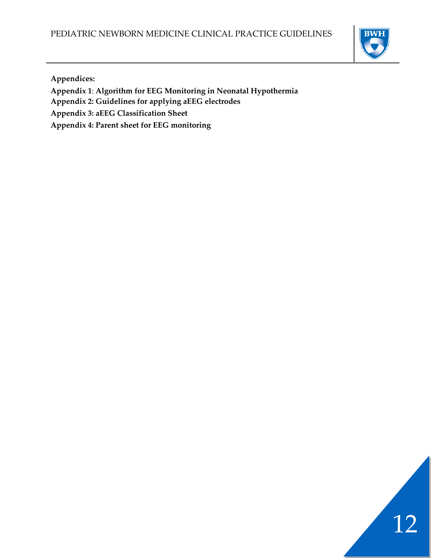

**Appendices:**

- **Appendix 1**: **Algorithm for EEG Monitoring in Neonatal Hypothermia**
- **Appendix 2: Guidelines for applying aEEG electrodes**
- **Appendix 3: aEEG Classification Sheet**
- **Appendix 4: Parent sheet for EEG monitoring**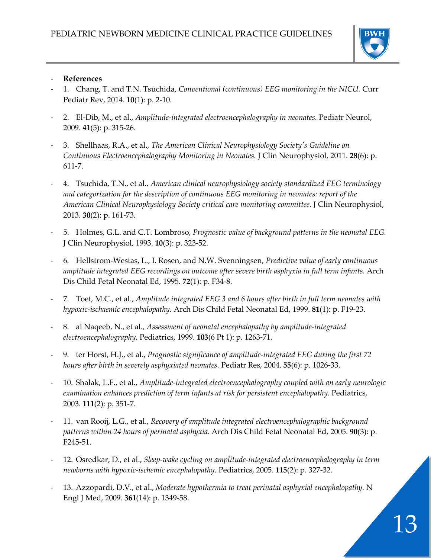

#### - **References**

- 1. Chang, T. and T.N. Tsuchida, *Conventional (continuous) EEG monitoring in the NICU.* Curr Pediatr Rev, 2014. **10**(1): p. 2-10.
- 2. El-Dib, M., et al., *Amplitude-integrated electroencephalography in neonates.* Pediatr Neurol, 2009. **41**(5): p. 315-26.
- 3. Shellhaas, R.A., et al., *The American Clinical Neurophysiology Society's Guideline on Continuous Electroencephalography Monitoring in Neonates.* J Clin Neurophysiol, 2011. **28**(6): p. 611-7.
- 4. Tsuchida, T.N., et al., *American clinical neurophysiology society standardized EEG terminology and categorization for the description of continuous EEG monitoring in neonates: report of the American Clinical Neurophysiology Society critical care monitoring committee.* J Clin Neurophysiol, 2013. **30**(2): p. 161-73.
- 5. Holmes, G.L. and C.T. Lombroso, *Prognostic value of background patterns in the neonatal EEG.* J Clin Neurophysiol, 1993. **10**(3): p. 323-52.
- 6. Hellstrom-Westas, L., I. Rosen, and N.W. Svenningsen, *Predictive value of early continuous amplitude integrated EEG recordings on outcome after severe birth asphyxia in full term infants.* Arch Dis Child Fetal Neonatal Ed, 1995. **72**(1): p. F34-8.
- 7. Toet, M.C., et al., *Amplitude integrated EEG 3 and 6 hours after birth in full term neonates with hypoxic-ischaemic encephalopathy.* Arch Dis Child Fetal Neonatal Ed, 1999. **81**(1): p. F19-23.
- 8. al Naqeeb, N., et al., *Assessment of neonatal encephalopathy by amplitude-integrated electroencephalography.* Pediatrics, 1999. **103**(6 Pt 1): p. 1263-71.
- 9. ter Horst, H.J., et al., *Prognostic significance of amplitude-integrated EEG during the first 72 hours after birth in severely asphyxiated neonates.* Pediatr Res, 2004. **55**(6): p. 1026-33.
- 10. Shalak, L.F., et al., *Amplitude-integrated electroencephalography coupled with an early neurologic examination enhances prediction of term infants at risk for persistent encephalopathy.* Pediatrics, 2003. **111**(2): p. 351-7.
- 11. van Rooij, L.G., et al., *Recovery of amplitude integrated electroencephalographic background patterns within 24 hours of perinatal asphyxia.* Arch Dis Child Fetal Neonatal Ed, 2005. **90**(3): p. F245-51.
- 12. Osredkar, D., et al., *Sleep-wake cycling on amplitude-integrated electroencephalography in term newborns with hypoxic-ischemic encephalopathy.* Pediatrics, 2005. **115**(2): p. 327-32.
- 13. Azzopardi, D.V., et al., *Moderate hypothermia to treat perinatal asphyxial encephalopathy.* N Engl J Med, 2009. **361**(14): p. 1349-58.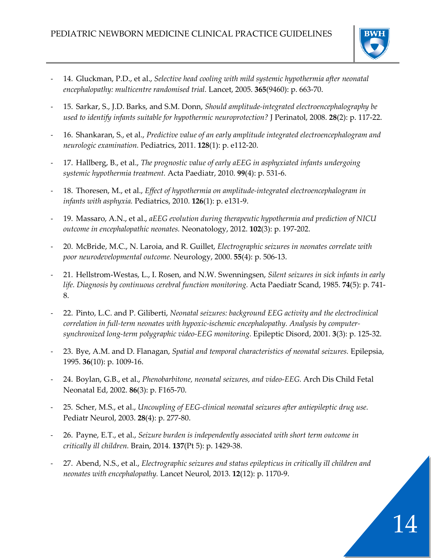

- 14. Gluckman, P.D., et al., *Selective head cooling with mild systemic hypothermia after neonatal encephalopathy: multicentre randomised trial.* Lancet, 2005. **365**(9460): p. 663-70.
- 15. Sarkar, S., J.D. Barks, and S.M. Donn, *Should amplitude-integrated electroencephalography be used to identify infants suitable for hypothermic neuroprotection?* J Perinatol, 2008. **28**(2): p. 117-22.
- 16. Shankaran, S., et al., *Predictive value of an early amplitude integrated electroencephalogram and neurologic examination.* Pediatrics, 2011. **128**(1): p. e112-20.
- 17. Hallberg, B., et al., *The prognostic value of early aEEG in asphyxiated infants undergoing systemic hypothermia treatment.* Acta Paediatr, 2010. **99**(4): p. 531-6.
- 18. Thoresen, M., et al., *Effect of hypothermia on amplitude-integrated electroencephalogram in infants with asphyxia.* Pediatrics, 2010. **126**(1): p. e131-9.
- 19. Massaro, A.N., et al., *aEEG evolution during therapeutic hypothermia and prediction of NICU outcome in encephalopathic neonates.* Neonatology, 2012. **102**(3): p. 197-202.
- 20. McBride, M.C., N. Laroia, and R. Guillet, *Electrographic seizures in neonates correlate with poor neurodevelopmental outcome.* Neurology, 2000. **55**(4): p. 506-13.
- 21. Hellstrom-Westas, L., I. Rosen, and N.W. Swenningsen, *Silent seizures in sick infants in early life. Diagnosis by continuous cerebral function monitoring.* Acta Paediatr Scand, 1985. **74**(5): p. 741- 8.
- 22. Pinto, L.C. and P. Giliberti, *Neonatal seizures: background EEG activity and the electroclinical correlation in full-term neonates with hypoxic-ischemic encephalopathy. Analysis by computersynchronized long-term polygraphic video-EEG monitoring.* Epileptic Disord, 2001. **3**(3): p. 125-32.
- 23. Bye, A.M. and D. Flanagan, *Spatial and temporal characteristics of neonatal seizures.* Epilepsia, 1995. **36**(10): p. 1009-16.
- 24. Boylan, G.B., et al., *Phenobarbitone, neonatal seizures, and video-EEG.* Arch Dis Child Fetal Neonatal Ed, 2002. **86**(3): p. F165-70.
- 25. Scher, M.S., et al., *Uncoupling of EEG-clinical neonatal seizures after antiepileptic drug use.* Pediatr Neurol, 2003. **28**(4): p. 277-80.
- 26. Payne, E.T., et al., *Seizure burden is independently associated with short term outcome in critically ill children.* Brain, 2014. **137**(Pt 5): p. 1429-38.
- 27. Abend, N.S., et al., *Electrographic seizures and status epilepticus in critically ill children and neonates with encephalopathy.* Lancet Neurol, 2013. **12**(12): p. 1170-9.